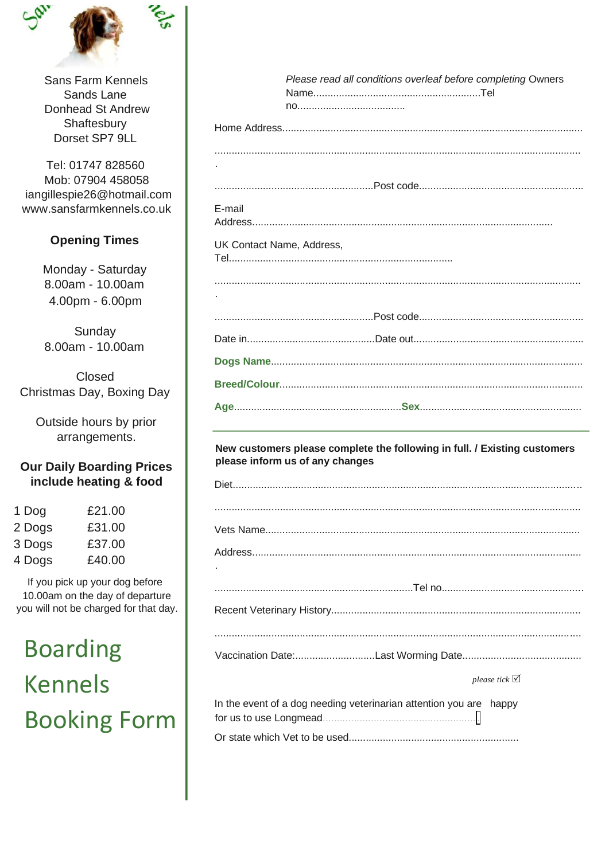

Sans Farm Kennels Sands Lane Donhead St Andrew Shaftesbury Dorset SP7 9LL

Tel: 01747 828560 Mob: 07904 458058 iangillespie26@hotmail.com www.sansfarmkennels.co.uk

## **Opening Times**

Monday - Saturday 8.00am - 10.00am 4.00pm - 6.00pm

Sunday 8.00am - 10.00am

Closed Christmas Day, Boxing Day

Outside hours by prior arrangements.

## **Our Daily Boarding Prices** include heating & food

| 1 Dog  | £21.00 |
|--------|--------|
| 2 Dogs | £31.00 |
| 3 Dogs | £37.00 |
| 4 Dogs | £40.00 |

If you pick up your dog before 10.00am on the day of departure you will not be charged for that day.

**Boarding Kennels Booking Form** 

|                           | Please read all conditions overleaf before completing Owners |  |  |  |  |  |  |  |
|---------------------------|--------------------------------------------------------------|--|--|--|--|--|--|--|
|                           |                                                              |  |  |  |  |  |  |  |
|                           |                                                              |  |  |  |  |  |  |  |
|                           |                                                              |  |  |  |  |  |  |  |
|                           |                                                              |  |  |  |  |  |  |  |
|                           |                                                              |  |  |  |  |  |  |  |
|                           |                                                              |  |  |  |  |  |  |  |
| E-mail                    |                                                              |  |  |  |  |  |  |  |
| UK Contact Name, Address, |                                                              |  |  |  |  |  |  |  |
|                           |                                                              |  |  |  |  |  |  |  |
|                           |                                                              |  |  |  |  |  |  |  |
|                           |                                                              |  |  |  |  |  |  |  |
|                           |                                                              |  |  |  |  |  |  |  |
|                           |                                                              |  |  |  |  |  |  |  |
|                           |                                                              |  |  |  |  |  |  |  |
|                           |                                                              |  |  |  |  |  |  |  |

## New customers please complete the following in full. / Existing customers please inform us of any changes

| please tick $\triangledown$                                             |
|-------------------------------------------------------------------------|
| In the event of a dog needing veterinarian attention you are happy<br>Ш |
|                                                                         |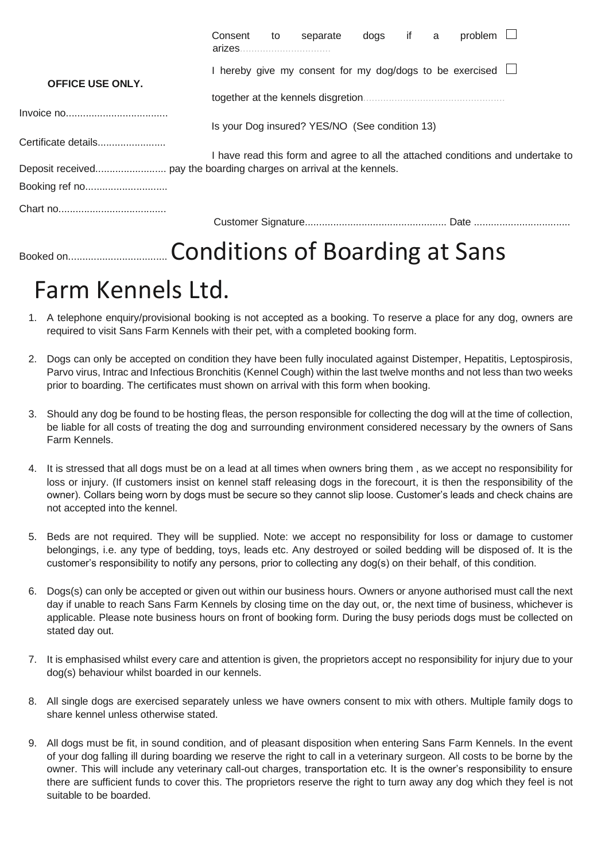|                         | Consent                                                                         | to | separate                              | dogs | if a |  | problem |  |
|-------------------------|---------------------------------------------------------------------------------|----|---------------------------------------|------|------|--|---------|--|
| <b>OFFICE USE ONLY.</b> | I hereby give my consent for my dog/dogs to be exercised I                      |    |                                       |      |      |  |         |  |
|                         |                                                                                 |    |                                       |      |      |  |         |  |
|                         |                                                                                 |    |                                       |      |      |  |         |  |
|                         | Is your Dog insured? YES/NO (See condition 13)                                  |    |                                       |      |      |  |         |  |
| Certificate details     |                                                                                 |    |                                       |      |      |  |         |  |
|                         | I have read this form and agree to all the attached conditions and undertake to |    |                                       |      |      |  |         |  |
|                         |                                                                                 |    |                                       |      |      |  |         |  |
| Booking ref no          |                                                                                 |    |                                       |      |      |  |         |  |
|                         |                                                                                 |    |                                       |      |      |  |         |  |
|                         |                                                                                 |    |                                       |      |      |  |         |  |
| Booked on               |                                                                                 |    | <b>Conditions of Boarding at Sans</b> |      |      |  |         |  |

## Farm Kennels Ltd.

- 1. A telephone enquiry/provisional booking is not accepted as a booking. To reserve a place for any dog, owners are required to visit Sans Farm Kennels with their pet, with a completed booking form.
- 2. Dogs can only be accepted on condition they have been fully inoculated against Distemper, Hepatitis, Leptospirosis, Parvo virus, Intrac and Infectious Bronchitis (Kennel Cough) within the last twelve months and not less than two weeks prior to boarding. The certificates must shown on arrival with this form when booking.
- 3. Should any dog be found to be hosting fleas, the person responsible for collecting the dog will at the time of collection, be liable for all costs of treating the dog and surrounding environment considered necessary by the owners of Sans Farm Kennels.
- 4. It is stressed that all dogs must be on a lead at all times when owners bring them , as we accept no responsibility for loss or injury. (If customers insist on kennel staff releasing dogs in the forecourt, it is then the responsibility of the owner). Collars being worn by dogs must be secure so they cannot slip loose. Customer's leads and check chains are not accepted into the kennel.
- 5. Beds are not required. They will be supplied. Note: we accept no responsibility for loss or damage to customer belongings, i.e. any type of bedding, toys, leads etc. Any destroyed or soiled bedding will be disposed of. It is the customer's responsibility to notify any persons, prior to collecting any dog(s) on their behalf, of this condition.
- 6. Dogs(s) can only be accepted or given out within our business hours. Owners or anyone authorised must call the next day if unable to reach Sans Farm Kennels by closing time on the day out, or, the next time of business, whichever is applicable. Please note business hours on front of booking form. During the busy periods dogs must be collected on stated day out.
- 7. It is emphasised whilst every care and attention is given, the proprietors accept no responsibility for injury due to your dog(s) behaviour whilst boarded in our kennels.
- 8. All single dogs are exercised separately unless we have owners consent to mix with others. Multiple family dogs to share kennel unless otherwise stated.
- 9. All dogs must be fit, in sound condition, and of pleasant disposition when entering Sans Farm Kennels. In the event of your dog falling ill during boarding we reserve the right to call in a veterinary surgeon. All costs to be borne by the owner. This will include any veterinary call-out charges, transportation etc. It is the owner's responsibility to ensure there are sufficient funds to cover this. The proprietors reserve the right to turn away any dog which they feel is not suitable to be boarded.